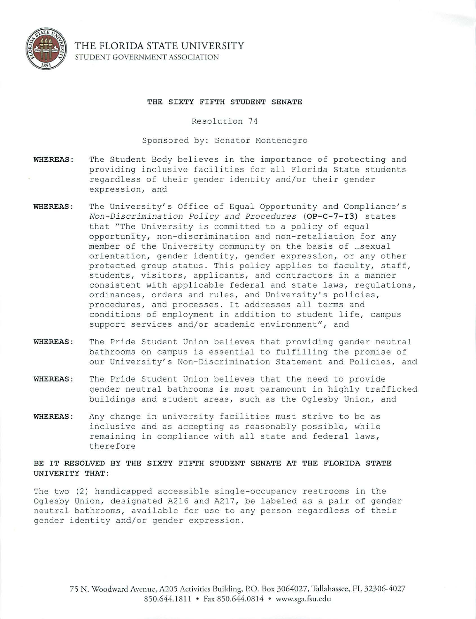

THE FLORIDA STATE UNIVERSITY STUDENT GOVERNMENT ASSOCIATION

## THE SIXTY FIFTH STUDENT SENATE

Resolution 74

Sponsored by: Senator Montenegro

- WHEREAS : The Student Body believes in the importance of protecting and providing inclusive facilities for all Florida State students regardless of their gender identity and/or their gender expression, and
- WHEREAS: The University's Office of Equal Opportunity and Compliance's *Non-Di scrimination Pol <sup>i</sup> cy and Procedures* (OP-C-7-I3) states that "The University is committed to a policy of equal opportunity, non-discrimination and non-retaliation for any member of the University community on the basis of ... sexual orientation, gender identity, gender expression, or any other protected group status. This policy applies to faculty, staff, students, visitors, applicants, and contractors in a manner consistent with applicable federal and state laws, regulations, ordinances, orders and rules, and University's policies, procedures, and processes . It addresses all terms and conditions of employment in addition to student life, campus support services and/or academic environment", and
- WHEREAS : The Pride Student Union believes that providing gender neutral bathrooms on campus is essential to fulfilling the promise of our University's Non-Discrimination Statement and Policies, and
- WHEREAS: The Pride Student Union believes that the need to provide gender neutral bathrooms is most paramount in highly trafficked buildings and student areas, such as the Oglesby Union, and
- WHEREAS: Any change in university facilities must strive to be as inclusive and as accepting as reasonably possible, while remaining in compliance with all state and federal laws, therefore

## BE IT RESOLVED BY THE SIXTY FIFTH STUDENT SENATE AT THE FLORIDA STATE UNIVERITY THAT :

The two (2) handicapped accessible single-occupancy restrooms in the Oglesby Union, designated A216 and A217, be labeled as a pair of gender neutral bathrooms, available for use to any person regardless of their gender identity and/or gender expression .

75 N. Woodward Aven ue, A205 Activities Building, P.O. Box 3064027, Tallahassee, FL 32306-4027 850.644.1811 • Fax 850.644.0814 • www.sga.fsu.edu